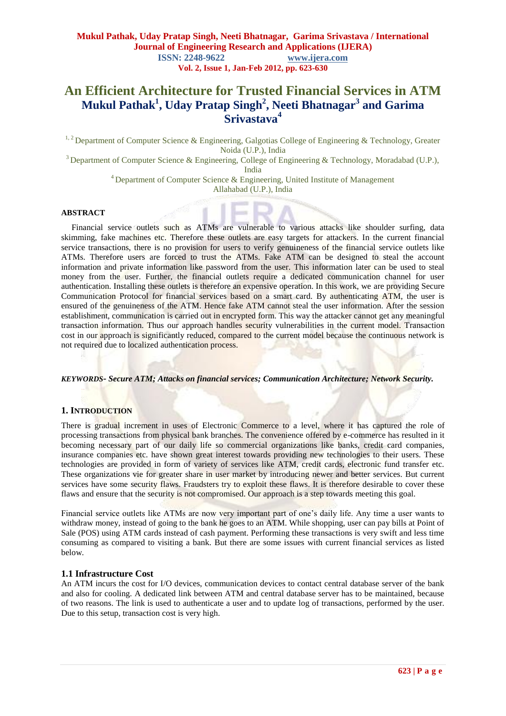# **An Efficient Architecture for Trusted Financial Services in ATM Mukul Pathak<sup>1</sup> , Uday Pratap Singh<sup>2</sup> , Neeti Bhatnagar<sup>3</sup> and Garima Srivastava<sup>4</sup>**

<sup>1, 2</sup> Department of Computer Science & Engineering, Galgotias College of Engineering & Technology, Greater Noida (U.P.), India

<sup>3</sup> Department of Computer Science & Engineering, College of Engineering & Technology, Moradabad (U.P.),

India

 $4$  Department of Computer Science & Engineering, United Institute of Management

Allahabad (U.P.), India

## **ABSTRACT**

Financial service outlets such as ATMs are vulnerable to various attacks like shoulder surfing, data skimming, fake machines etc. Therefore these outlets are easy targets for attackers. In the current financial service transactions, there is no provision for users to verify genuineness of the financial service outlets like ATMs. Therefore users are forced to trust the ATMs. Fake ATM can be designed to steal the account information and private information like password from the user. This information later can be used to steal money from the user. Further, the financial outlets require a dedicated communication channel for user authentication. Installing these outlets is therefore an expensive operation. In this work, we are providing Secure Communication Protocol for financial services based on a smart card. By authenticating ATM, the user is ensured of the genuineness of the ATM. Hence fake ATM cannot steal the user information. After the session establishment, communication is carried out in encrypted form. This way the attacker cannot get any meaningful transaction information. Thus our approach handles security vulnerabilities in the current model. Transaction cost in our approach is significantly reduced, compared to the current model because the continuous network is not required due to localized authentication process.

## *KEYWORDS- Secure ATM; Attacks on financial services; Communication Architecture; Network Security.*

### **1. INTRODUCTION**

There is gradual increment in uses of Electronic Commerce to a level, where it has captured the role of processing transactions from physical bank branches. The convenience offered by e-commerce has resulted in it becoming necessary part of our daily life so commercial organizations like banks, credit card companies, insurance companies etc. have shown great interest towards providing new technologies to their users. These technologies are provided in form of variety of services like ATM, credit cards, electronic fund transfer etc. These organizations vie for greater share in user market by introducing newer and better services. But current services have some security flaws. Fraudsters try to exploit these flaws. It is therefore desirable to cover these flaws and ensure that the security is not compromised. Our approach is a step towards meeting this goal.

Financial service outlets like ATMs are now very important part of one"s daily life. Any time a user wants to withdraw money, instead of going to the bank he goes to an ATM. While shopping, user can pay bills at Point of Sale (POS) using ATM cards instead of cash payment. Performing these transactions is very swift and less time consuming as compared to visiting a bank. But there are some issues with current financial services as listed below.

### **1.1 Infrastructure Cost**

An ATM incurs the cost for I/O devices, communication devices to contact central database server of the bank and also for cooling. A dedicated link between ATM and central database server has to be maintained, because of two reasons. The link is used to authenticate a user and to update log of transactions, performed by the user. Due to this setup, transaction cost is very high.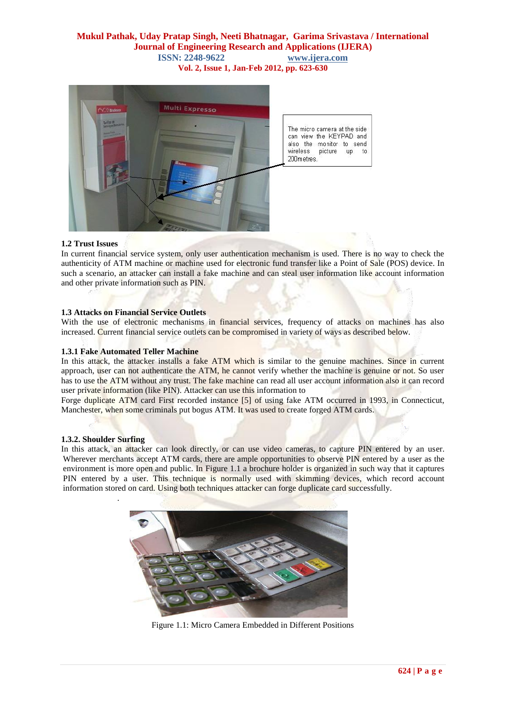

### **1.2 Trust Issues**

In current financial service system, only user authentication mechanism is used. There is no way to check the authenticity of ATM machine or machine used for electronic fund transfer like a Point of Sale (POS) device. In such a scenario, an attacker can install a fake machine and can steal user information like account information and other private information such as PIN.

### **1.3 Attacks on Financial Service Outlets**

With the use of electronic mechanisms in financial services, frequency of attacks on machines has also increased. Current financial service outlets can be compromised in variety of ways as described below.

#### **1.3.1 Fake Automated Teller Machine**

In this attack, the attacker installs a fake ATM which is similar to the genuine machines. Since in current approach, user can not authenticate the ATM, he cannot verify whether the machine is genuine or not. So user has to use the ATM without any trust. The fake machine can read all user account information also it can record user private information (like PIN). Attacker can use this information to

Forge duplicate ATM card First recorded instance [5] of using fake ATM occurred in 1993, in Connecticut, Manchester, when some criminals put bogus ATM. It was used to create forged ATM cards.

#### **1.3.2. Shoulder Surfing**

.

In this attack, an attacker can look directly, or can use video cameras, to capture PIN entered by an user. Wherever merchants accept ATM cards, there are ample opportunities to observe PIN entered by a user as the environment is more open and public. In Figure 1.1 a brochure holder is organized in such way that it captures PIN entered by a user. This technique is normally used with skimming devices, which record account information stored on card. Using both techniques attacker can forge duplicate card successfully.



Figure 1.1: Micro Camera Embedded in Different Positions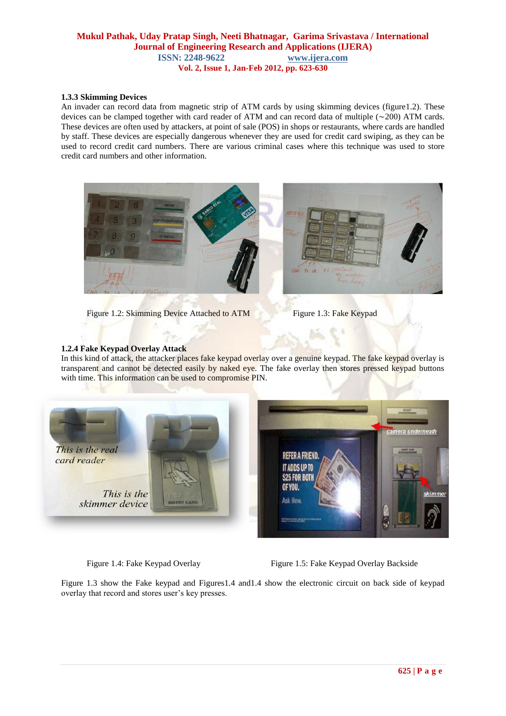## **1.3.3 Skimming Devices**

An invader can record data from magnetic strip of ATM cards by using skimming devices (figure1.2). These devices can be clamped together with card reader of ATM and can record data of multiple (∼200) ATM cards. These devices are often used by attackers, at point of sale (POS) in shops or restaurants, where cards are handled by staff. These devices are especially dangerous whenever they are used for credit card swiping, as they can be used to record credit card numbers. There are various criminal cases where this technique was used to store credit card numbers and other information.



Figure 1.2: Skimming Device Attached to ATM Figure 1.3: Fake Keypad

# **1.2.4 Fake Keypad Overlay Attack**

In this kind of attack, the attacker places fake keypad overlay over a genuine keypad. The fake keypad overlay is transparent and cannot be detected easily by naked eye. The fake overlay then stores pressed keypad buttons with time. This information can be used to compromise PIN.



Figure 1.4: Fake Keypad Overlay Figure 1.5: Fake Keypad Overlay Backside

Figure 1.3 show the Fake keypad and Figures1.4 and1.4 show the electronic circuit on back side of keypad overlay that record and stores user"s key presses.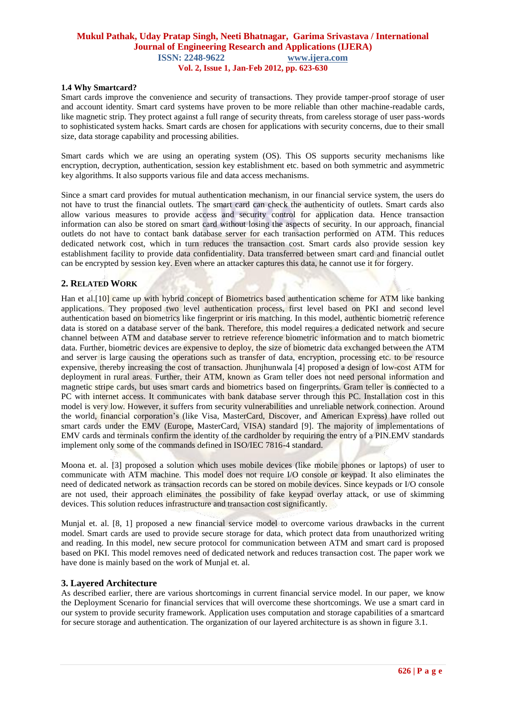#### **1.4 Why Smartcard?**

Smart cards improve the convenience and security of transactions. They provide tamper-proof storage of user and account identity. Smart card systems have proven to be more reliable than other machine-readable cards, like magnetic strip. They protect against a full range of security threats, from careless storage of user pass-words to sophisticated system hacks. Smart cards are chosen for applications with security concerns, due to their small size, data storage capability and processing abilities.

Smart cards which we are using an operating system (OS). This OS supports security mechanisms like encryption, decryption, authentication, session key establishment etc. based on both symmetric and asymmetric key algorithms. It also supports various file and data access mechanisms.

Since a smart card provides for mutual authentication mechanism, in our financial service system, the users do not have to trust the financial outlets. The smart card can check the authenticity of outlets. Smart cards also allow various measures to provide access and security control for application data. Hence transaction information can also be stored on smart card without losing the aspects of security. In our approach, financial outlets do not have to contact bank database server for each transaction performed on ATM. This reduces dedicated network cost, which in turn reduces the transaction cost. Smart cards also provide session key establishment facility to provide data confidentiality. Data transferred between smart card and financial outlet can be encrypted by session key. Even where an attacker captures this data, he cannot use it for forgery.

# **2. RELATED WORK**

Han et al.<sup>[10]</sup> came up with hybrid concept of Biometrics based authentication scheme for ATM like banking applications. They proposed two level authentication process, first level based on PKI and second level authentication based on biometrics like fingerprint or iris matching. In this model, authentic biometric reference data is stored on a database server of the bank. Therefore, this model requires a dedicated network and secure channel between ATM and database server to retrieve reference biometric information and to match biometric data. Further, biometric devices are expensive to deploy, the size of biometric data exchanged between the ATM and server is large causing the operations such as transfer of data, encryption, processing etc. to be resource expensive, thereby increasing the cost of transaction. Jhunjhunwala [4] proposed a design of low-cost ATM for deployment in rural areas. Further, their ATM, known as Gram teller does not need personal information and magnetic stripe cards, but uses smart cards and biometrics based on fingerprints. Gram teller is connected to a PC with internet access. It communicates with bank database server through this PC. Installation cost in this model is very low. However, it suffers from security vulnerabilities and unreliable network connection. Around the world, financial corporation"s (like Visa, MasterCard, Discover, and American Express) have rolled out smart cards under the EMV (Europe, MasterCard, VISA) standard [9]. The majority of implementations of EMV cards and terminals confirm the identity of the cardholder by requiring the entry of a PIN.EMV standards implement only some of the commands defined in ISO/IEC 7816-4 standard.

Moona et. al. [3] proposed a solution which uses mobile devices (like mobile phones or laptops) of user to communicate with ATM machine. This model does not require I/O console or keypad. It also eliminates the need of dedicated network as transaction records can be stored on mobile devices. Since keypads or I/O console are not used, their approach eliminates the possibility of fake keypad overlay attack, or use of skimming devices. This solution reduces infrastructure and transaction cost significantly.

Munjal et. al. [8, 1] proposed a new financial service model to overcome various drawbacks in the current model. Smart cards are used to provide secure storage for data, which protect data from unauthorized writing and reading. In this model, new secure protocol for communication between ATM and smart card is proposed based on PKI. This model removes need of dedicated network and reduces transaction cost. The paper work we have done is mainly based on the work of Munjal et. al.

### **3. Layered Architecture**

As described earlier, there are various shortcomings in current financial service model. In our paper, we know the Deployment Scenario for financial services that will overcome these shortcomings. We use a smart card in our system to provide security framework. Application uses computation and storage capabilities of a smartcard for secure storage and authentication. The organization of our layered architecture is as shown in figure 3.1.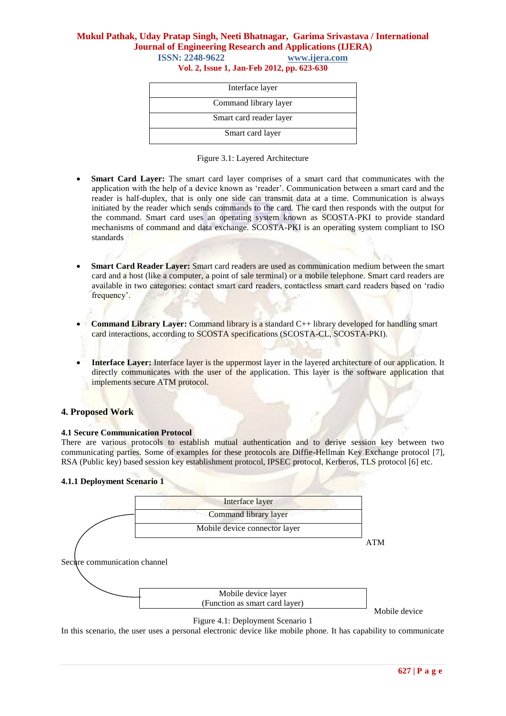# **Mukul Pathak, Uday Pratap Singh, Neeti Bhatnagar, Garima Srivastava / International Journal of Engineering Research and Applications (IJERA) ISSN: 2248-9622 www.ijera.com**

**Vol. 2, Issue 1, Jan-Feb 2012, pp. 623-630**

| Interface layer         |  |  |
|-------------------------|--|--|
| Command library layer   |  |  |
| Smart card reader layer |  |  |
| Smart card layer        |  |  |

|  |  | Figure 3.1: Layered Architecture |
|--|--|----------------------------------|
|--|--|----------------------------------|

- **Smart Card Layer:** The smart card layer comprises of a smart card that communicates with the application with the help of a device known as "reader". Communication between a smart card and the reader is half-duplex, that is only one side can transmit data at a time. Communication is always initiated by the reader which sends commands to the card. The card then responds with the output for the command. Smart card uses an operating system known as SCOSTA-PKI to provide standard mechanisms of command and data exchange. SCOSTA-PKI is an operating system compliant to ISO standards
- **Smart Card Reader Layer:** Smart card readers are used as communication medium between the smart card and a host (like a computer, a point of sale terminal) or a mobile telephone. Smart card readers are available in two categories: contact smart card readers, contactless smart card readers based on "radio frequency'.
- **Command Library Layer:** Command library is a standard C++ library developed for handling smart card interactions, according to SCOSTA specifications (SCOSTA-CL, SCOSTA-PKI).
- **Interface Layer:** Interface layer is the uppermost layer in the layered architecture of our application. It directly communicates with the user of the application. This layer is the software application that implements secure ATM protocol.

# **4. Proposed Work**

#### **4.1 Secure Communication Protocol**

There are various protocols to establish mutual authentication and to derive session key between two communicating parties. Some of examples for these protocols are Diffie-Hellman Key Exchange protocol [7], RSA (Public key) based session key establishment protocol, IPSEC protocol, Kerberos, TLS protocol [6] etc.

### **4.1.1 Deployment Scenario 1**



Mobile device

# Figure 4.1: Deployment Scenario 1

In this scenario, the user uses a personal electronic device like mobile phone. It has capability to communicate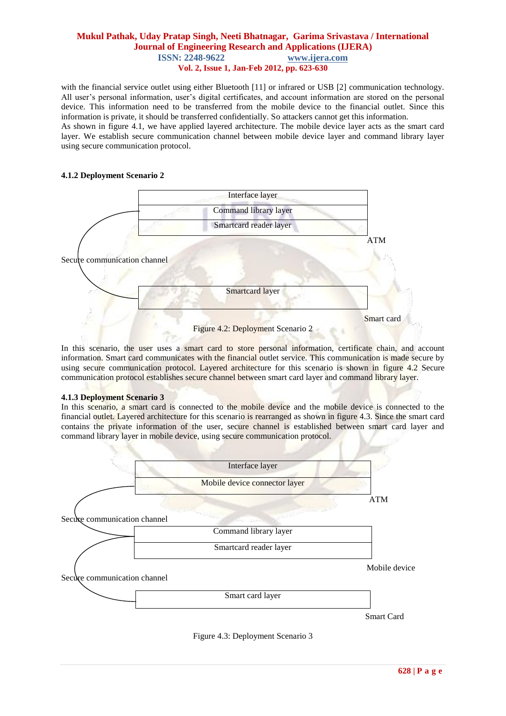with the financial service outlet using either Bluetooth [11] or infrared or USB [2] communication technology. All user's personal information, user's digital certificates, and account information are stored on the personal device. This information need to be transferred from the mobile device to the financial outlet. Since this information is private, it should be transferred confidentially. So attackers cannot get this information. As shown in figure 4.1, we have applied layered architecture. The mobile device layer acts as the smart card layer. We establish secure communication channel between mobile device layer and command library layer

### **4.1.2 Deployment Scenario 2**

using secure communication protocol.



In this scenario, the user uses a smart card to store personal information, certificate chain, and account information. Smart card communicates with the financial outlet service. This communication is made secure by using secure communication protocol. Layered architecture for this scenario is shown in figure 4.2 Secure communication protocol establishes secure channel between smart card layer and command library layer.

#### **4.1.3 Deployment Scenario 3**

In this scenario, a smart card is connected to the mobile device and the mobile device is connected to the financial outlet. Layered architecture for this scenario is rearranged as shown in figure 4.3. Since the smart card contains the private information of the user, secure channel is established between smart card layer and command library layer in mobile device, using secure communication protocol.



Figure 4.3: Deployment Scenario 3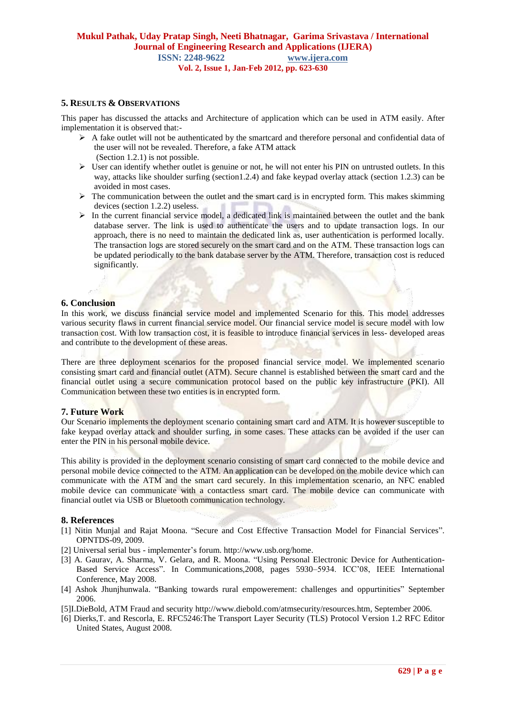# **5. RESULTS & OBSERVATIONS**

This paper has discussed the attacks and Architecture of application which can be used in ATM easily. After implementation it is observed that:-

- $\triangleright$  A fake outlet will not be authenticated by the smartcard and therefore personal and confidential data of the user will not be revealed. Therefore, a fake ATM attack (Section 1.2.1) is not possible.
- $\triangleright$  User can identify whether outlet is genuine or not, he will not enter his PIN on untrusted outlets. In this way, attacks like shoulder surfing (section1.2.4) and fake keypad overlay attack (section 1.2.3) can be avoided in most cases.
- $\triangleright$  The communication between the outlet and the smart card is in encrypted form. This makes skimming devices (section 1.2.2) useless.
- $\triangleright$  In the current financial service model, a dedicated link is maintained between the outlet and the bank database server. The link is used to authenticate the users and to update transaction logs. In our approach, there is no need to maintain the dedicated link as, user authentication is performed locally. The transaction logs are stored securely on the smart card and on the ATM. These transaction logs can be updated periodically to the bank database server by the ATM. Therefore, transaction cost is reduced significantly.

### **6. Conclusion**

In this work, we discuss financial service model and implemented Scenario for this. This model addresses various security flaws in current financial service model. Our financial service model is secure model with low transaction cost. With low transaction cost, it is feasible to introduce financial services in less- developed areas and contribute to the development of these areas.

There are three deployment scenarios for the proposed financial service model. We implemented scenario consisting smart card and financial outlet (ATM). Secure channel is established between the smart card and the financial outlet using a secure communication protocol based on the public key infrastructure (PKI). All Communication between these two entities is in encrypted form.

### **7. Future Work**

Our Scenario implements the deployment scenario containing smart card and ATM. It is however susceptible to fake keypad overlay attack and shoulder surfing, in some cases. These attacks can be avoided if the user can enter the PIN in his personal mobile device.

This ability is provided in the deployment scenario consisting of smart card connected to the mobile device and personal mobile device connected to the ATM. An application can be developed on the mobile device which can communicate with the ATM and the smart card securely. In this implementation scenario, an NFC enabled mobile device can communicate with a contactless smart card. The mobile device can communicate with financial outlet via USB or Bluetooth communication technology.

### **8. References**

- [1] Nitin Munjal and Rajat Moona. "Secure and Cost Effective Transaction Model for Financial Services". OPNTDS-09, 2009.
- [2] Universal serial bus implementer"s forum. http://www.usb.org/hom[e.](http://www.usb.org/home)
- [3] A. Gaurav, A. Sharma, V. Gelara, and R. Moona. "Using Personal Electronic Device for Authentication-Based Service Access". In Communications,2008, pages 5930–5934. ICC"08, IEEE International Conference, May 2008.
- [4] Ashok Jhunjhunwala. "Banking towards rural empowerement: challenges and oppurtinities" September 2006.
- [5]I.DieBold, ATM Fraud and security [http://www.diebold.com/a](http://www.diebold.com/atmsecurity/resources.htm)tmsecurity/resources.htm, September 2006.
- [6] Dierks,T. and Rescorla, E. RFC5246:The Transport Layer Security (TLS) Protocol Version 1.2 RFC Editor United States, August 2008.